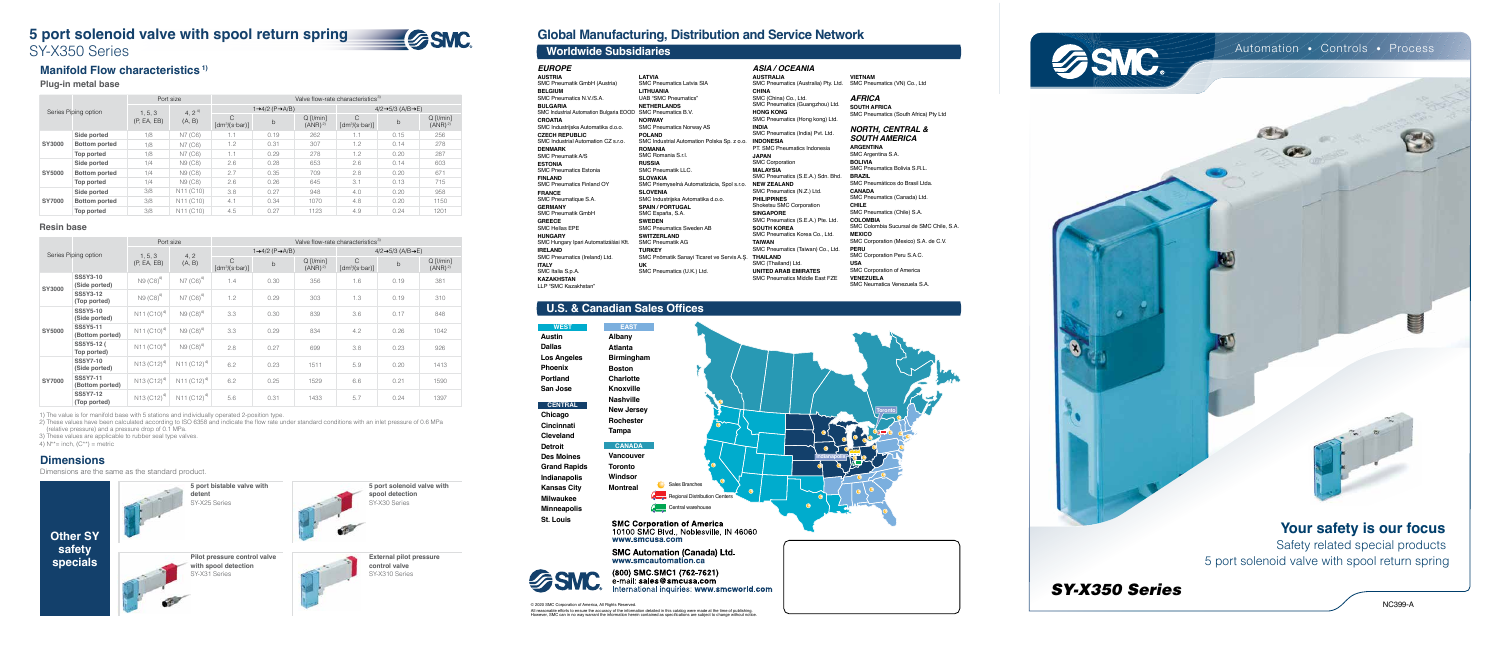# **5 port solenoid valve with spool return spring** SY-X350 Series



© 2020 SMC Corporation of America, All Rights Reserved. All reasonable efforts to ensure the accuracy of the information detailed in this catalog were made at the time of publishing.<br>However, SMC can in no way warrant the information herein contained as specifications are subje

## **Global Manufacturing, Distribution and Service Network**

**Austin Dallas Los Angeles Phoenix Portland San Jose**

**Chicago Cincinnati Cleveland Detroit Des Moines Grand Rapids Indianapolis Kansas City Milwaukee Minneapolis St. Louis**

| <b>EAST</b>       |                               |
|-------------------|-------------------------------|
| Albany            |                               |
| <b>Atlanta</b>    |                               |
| <b>Birmingham</b> |                               |
| <b>Boston</b>     |                               |
| <b>Charlotte</b>  |                               |
| <b>Knoxville</b>  |                               |
| <b>Nashville</b>  |                               |
| <b>New Jersey</b> |                               |
| <b>Rochester</b>  |                               |
| Tampa             |                               |
| <b>CANADA</b>     |                               |
| <b>Vancouver</b>  |                               |
| <b>Toronto</b>    |                               |
| Windsor           | о                             |
| <b>Montreal</b>   | Sales Branches                |
|                   | Regional Distribution Centers |
|                   | Central warehouse             |
|                   |                               |

**SMC Corporation of America** 10100 SMC Blvd., Noblesville, IN 46060 www.smcusa.com

**SMC Automation (Canada) Ltd.**<br>www.smcautomation.ca



**CENTRAL**

(800) SMC SMC1 (762-7621) e-mail: sales@smcusa.com nternational inquiries: www.smcworld.com

**WEST**

### **U.S. & Canadian Sales Offices**





| Worldwide Subsidiaries                                      |                                             |                                       |
|-------------------------------------------------------------|---------------------------------------------|---------------------------------------|
| <b>EUROPE</b>                                               |                                             | ASIA / OCE                            |
| <b>AUSTRIA</b>                                              | <b>LATVIA</b>                               | <b>AUSTRALIA</b>                      |
| SMC Pneumatik GmbH (Austria)                                | <b>SMC Pneumatics Latvia SIA</b>            | <b>SMC Pneumatics</b>                 |
| <b>BELGIUM</b>                                              | <b>LITHUANIA</b>                            | <b>CHINA</b>                          |
| SMC Pneumatics N.V./S.A.                                    | UAB "SMC Pneumatics"                        | SMC (China) Co                        |
| <b>BULGARIA</b>                                             | <b>NETHERLANDS</b>                          | <b>SMC Pneumatics</b>                 |
| SMC Industrial Automation Bulgaria EOOD SMC Pneumatics B.V. |                                             | <b>HONG KONG</b>                      |
| <b>CROATIA</b>                                              | <b>NORWAY</b>                               | <b>SMC Pneumatics</b>                 |
| SMC Industrijska Automatika d.o.o.                          | <b>SMC Pneumatics Norway AS</b>             | <b>INDIA</b><br><b>SMC Pneumatics</b> |
| <b>CZECH REPUBLIC</b>                                       | <b>POLAND</b>                               |                                       |
| SMC Industrial Automation CZ s.r.o.                         | SMC Industrial Automation Polska Sp. z o.o. | <b>INDONESIA</b><br>PT. SMC Pneum     |
| <b>DENMARK</b><br><b>SMC Pneumatik A/S</b>                  | <b>ROMANIA</b><br>SMC Romania S.r.I.        | <b>JAPAN</b>                          |
| <b>ESTONIA</b>                                              | <b>RUSSIA</b>                               | <b>SMC Corporation</b>                |
| <b>SMC Pneumatics Estonia</b>                               | <b>SMC Pneumatik LLC.</b>                   | <b>MALAYSIA</b>                       |
| <b>FINLAND</b>                                              | <b>SLOVAKIA</b>                             | <b>SMC Pneumatics</b>                 |
| <b>SMC Pneumatics Finland OY</b>                            | SMC Priemyselná Automatizácia, Spol s.r.o.  | <b>NEW ZEALAND</b>                    |
| <b>FRANCE</b>                                               | <b>SLOVENIA</b>                             | <b>SMC Pneumatics</b>                 |
| SMC Pneumatique S.A.                                        | SMC Industrijska Avtomatika d.o.o.          | <b>PHILIPPINES</b>                    |
| <b>GERMANY</b>                                              | <b>SPAIN / PORTUGAL</b>                     | Shoketsu SMC C                        |
| <b>SMC Pneumatik GmbH</b>                                   | SMC España, S.A.                            | <b>SINGAPORE</b>                      |
| <b>GREECE</b>                                               | <b>SWEDEN</b>                               | <b>SMC Pneumatics</b>                 |
| <b>SMC Hellas EPE</b>                                       | <b>SMC Pneumatics Sweden AB</b>             | <b>SOUTH KOREA</b>                    |
| <b>HUNGARY</b>                                              | <b>SWITZERLAND</b>                          | <b>SMC Pneumatics</b>                 |
| SMC Hungary Ipari Automatizálási Kft.                       | <b>SMC Pneumatik AG</b>                     | <b>TAIWAN</b>                         |
| <b>IRELAND</b>                                              | <b>TURKEY</b>                               | <b>SMC Pneumatics</b>                 |
| SMC Pneumatics (Ireland) Ltd.                               | SMC Pnömatik Sanayi Ticaret ve Servis A.S.  | <b>THAILAND</b>                       |
| <b>ITALY</b>                                                | UK                                          | SMC (Thailand) I                      |
| SMC Italia S.p.A.                                           | SMC Pneumatics (U.K.) Ltd.                  | <b>UNITED ARAB I</b>                  |
| <b>KAZAKHSTAN</b>                                           |                                             | <b>SMC Pneumatics</b>                 |

LLP "SMC Kazakhstan"

*ASIA / OCEANIA* **AUSTRALIA** SMC Pneumatics (Australia) Pty. Ltd. **CHINA** SMC (China) Co., Ltd. SMC Pneumatics (Guangzhou) Ltd. **HONG KONG** SMC Pneumatics (Hong kong) Ltd. **INDIA** SMC Pneumatics (India) Pvt. Ltd. PT. SMC Pneumatics Indonesia **JAPAN** SMC Corporation **MALAYSIA** SMC Pneumatics (S.E.A.) Sdn. Bhd. SMC Pneumatics (N.Z.) Ltd. **PHILIPPINES** Shoketsu SMC Corporation **SINGAPORE** SMC Pneumatics (S.E.A.) Pte. Ltd. **SOUTH KOREA** SMC Pneumatics Korea Co., Ltd. **TAIWAN** SMC Pneumatics (Taiwan) Co., Ltd. SMC (Thailand) Ltd. **UNITED ARAB EMIRATES** SMC Pneumatics Middle East FZE

**VIETNAM** SMC Pneumatics (VN) Co., Ltd

> *AFRICA* **SOUTH AFRICA** SMC Pneumatics (South Africa) Pty Ltd

#### *NORTH, CENTRAL & SOUTH AMERICA*

**ARGENTINA** SMC Argentina S.A. **BOLIVIA** SMC Pneumatics Bolivia S.R.L. **BRAZIL** SMC Pneumáticos do Brasil Ltda. **CANADA** SMC Pneumatics (Canada) Ltd. **CHILE** SMC Pneumatics (Chile) S.A. **COLOMBIA** SMC Colombia Sucursal de SMC Chile, S.A. **MEXICO** SMC Corporation (Mexico) S.A. de C.V. **PERU** SMC Corporation Peru S.A.C. **USA** SMC Corporation of America **VENEZUELA** SMC Neumatica Venezuela S.A.



### **Manifold Flow characteristics 1)**

### **Plug-in metal base**

### **Dimensions**

Dimensions are the same as the standard product.



**5 port solenoid valve with** 

**spool detection** SY-X30 Series





**External pilot pressure control valve** SY-X310 Series

### **Resin base**

|               |                      | Port size   |                                    | Valve flow-rate characteristics <sup>3)</sup> |                                           |                                       |                                         |                                             |                                   |  |
|---------------|----------------------|-------------|------------------------------------|-----------------------------------------------|-------------------------------------------|---------------------------------------|-----------------------------------------|---------------------------------------------|-----------------------------------|--|
|               | Series Piping option |             | 4, $2^{4}$<br>1, 5, 3              |                                               | $1 \rightarrow 4/2$ (P $\rightarrow$ A/B) |                                       |                                         | $4/2 \rightarrow 5/3$ (A/B $\rightarrow$ E) |                                   |  |
|               |                      | (P, EA, EB) | (A, B)                             | C<br>$\lceil dm^3/(s \cdot bar) \rceil$       | $\mathsf{b}$                              | $Q$ [ $l/min$ ]<br>(ANR) <sup>2</sup> | C<br>$\lceil dm^3/(s \cdot bar) \rceil$ | b                                           | $Q$ [I/min]<br>(ANR) <sup>2</sup> |  |
|               | Side ported          | 1/8         | N7 (C6)                            | 1.1                                           | 0.19                                      | 262                                   | 1.1                                     | 0.15                                        | 256                               |  |
| SY3000        | <b>Bottom ported</b> | 1/8         | N7 (C6)                            | 1.2                                           | 0.31                                      | 307                                   | 1.2                                     | 0.14                                        | 278                               |  |
|               | Top ported           | 1/8         | N7 (C6)                            | 1.1                                           | 0.29                                      | 278                                   | 1.2                                     | 0.20                                        | 287                               |  |
|               | Side ported          | 1/4         | N9 (C8)                            | 2.6                                           | 0.28                                      | 653                                   | 2.6                                     | 0.14                                        | 603                               |  |
| SY5000        | <b>Bottom ported</b> | 1/4         | N9 (C8)                            | 2.7                                           | 0.35                                      | 709                                   | 2.8                                     | 0.20                                        | 671                               |  |
|               | Top ported           | 1/4         | N9 (C8)                            | 2.6                                           | 0.26                                      | 645                                   | 3.1                                     | 0.13                                        | 715                               |  |
|               | Side ported          | 3/8         | N <sub>11</sub> (C <sub>10</sub> ) | 3.8                                           | 0.27                                      | 948                                   | 4.0                                     | 0.20                                        | 958                               |  |
| <b>SY7000</b> | <b>Bottom ported</b> | 3/8         | N <sub>11</sub> (C <sub>10</sub> ) | 4.1                                           | 0.34                                      | 1070                                  | 4.8                                     | 0.20                                        | 1150                              |  |
|               | Top ported           | 3/8         | N <sub>11</sub> (C <sub>10</sub> ) | 4.5                                           | 0.27                                      | 1123                                  | 4.9                                     | 0.24                                        | 1201                              |  |

|               |                                    | Port size                                        |                                                  | Valve flow-rate characteristics <sup>3)</sup> |                                           |                                   |                                  |                                             |                                   |  |
|---------------|------------------------------------|--------------------------------------------------|--------------------------------------------------|-----------------------------------------------|-------------------------------------------|-----------------------------------|----------------------------------|---------------------------------------------|-----------------------------------|--|
|               | Series Piping option               |                                                  |                                                  |                                               | $1 \rightarrow 4/2$ (P $\rightarrow$ A/B) |                                   |                                  | $4/2 \rightarrow 5/3$ (A/B $\rightarrow$ E) |                                   |  |
|               |                                    | 1, 5, 3<br>(P, EA, EB)                           | 4, 2<br>(A, B)                                   | $\mathsf{C}$<br>$[dm^3/(s·bar)]$              | b                                         | $Q$ [I/min]<br>(ANR) <sup>2</sup> | $\mathsf{C}$<br>$[dm^3/(s·bar)]$ | $\mathsf{b}$                                | $Q$ [I/min]<br>(ANR) <sup>2</sup> |  |
| <b>SY3000</b> | <b>SS5Y3-10</b><br>(Side ported)   | N9 (C8) <sup>4)</sup>                            | $N7(C6)^{4}$                                     | 1.4                                           | 0.30                                      | 356                               | 1.6                              | 0.19                                        | 381                               |  |
|               | <b>SS5Y3-12</b><br>(Top ported)    | $N9 (C8)^{4}$                                    | $N7(C6)^{4}$                                     | 1.2                                           | 0.29                                      | 303                               | 1.3                              | 0.19                                        | 310                               |  |
| <b>SY5000</b> | <b>SS5Y5-10</b><br>(Side ported)   | $N11 (C10)^{4}$                                  | $N9 (C8)^4$                                      | 3.3                                           | 0.30                                      | 839                               | 3.6                              | 0.17                                        | 848                               |  |
|               | <b>SS5Y5-11</b><br>(Bottom ported) | N <sub>11</sub> (C <sub>10)<sup>4)</sup></sub>   | N9 (C8) <sup>4)</sup>                            | 3.3                                           | 0.29                                      | 834                               | 4.2                              | 0.26                                        | 1042                              |  |
|               | SS5Y5-12 (<br>Top ported)          | N <sub>11</sub> (C <sub>10</sub> ) <sup>4)</sup> | N9 (C8) <sup>4)</sup>                            | 2.8                                           | 0.27                                      | 699                               | 3.8                              | 0.23                                        | 926                               |  |
| <b>SY7000</b> | <b>SS5Y7-10</b><br>(Side ported)   | N <sub>13</sub> (C <sub>12</sub> ) <sup>4)</sup> | $N11 (C12)^{4}$                                  | 6.2                                           | 0.23                                      | 1511                              | 5.9                              | 0.20                                        | 1413                              |  |
|               | <b>SS5Y7-11</b><br>(Bottom ported) | N <sub>13</sub> (C <sub>12</sub> ) <sup>4)</sup> | $N11 (C12)^{4}$                                  | 6.2                                           | 0.25                                      | 1529                              | 6.6                              | 0.21                                        | 1590                              |  |
|               | <b>SS5Y7-12</b><br>(Top ported)    | N <sub>13</sub> (C <sub>12</sub> ) <sup>4)</sup> | N <sub>11</sub> (C <sub>12</sub> ) <sup>4)</sup> | 5.6                                           | 0.31                                      | 1433                              | 5.7                              | 0.24                                        | 1397                              |  |

1) The value is for manifold base with 5 stations and individually operated 2-position type.

2) These values have been calculated according to ISO 6358 and indicate the flow rate under standard conditions with an inlet pressure of 0.6 MPa

(relative pressure) and a pressure drop of 0.1 MPa. 3) These values are applicable to rubber seal type valves.

4)  $N^{**}$  = inch,  $(C^{**})$  = metric



Safety related special products 5 port solenoid valve with spool return spring

*SY-X350 Series*

### Automation • Controls • Process

NC399-A NC399-A